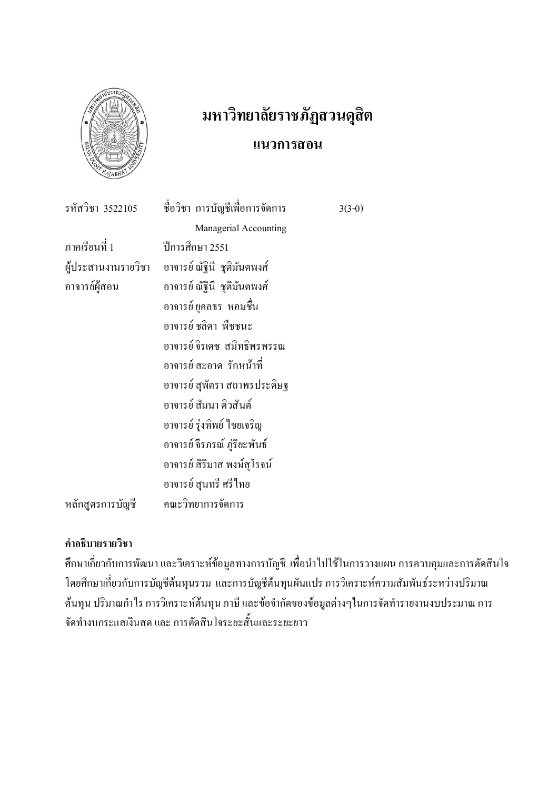

# มหาวิทยาลัยราชภัฏสวนดุสิต แนวการสอน

 $3(3-0)$ 

ชื่อวิชา การบัญชีเพื่อการจัดการ รหัสวิชา 3522105 Managerial Accounting ์<br>ภาคเรียนที่ 1 ปีการศึกษา 2551 ผู้ประสานงานรายวิชา อาจารย์ ณัฐนี ชุติมันตพงศ์ อาจารย์ผู้สอน อาจารย์ ณัฐินี ชุติมันตพงศ์ อาจารย์ ยุคลธร หอมชื้น อาจารย์ ชลิดา พืชชบะ อาจารย์ จิรเดช สบิทธิพรพรรกเ ้อาจารย์ สะอาด รักหน้าที่ ้อาจารย์ สุพัตรา สถาพรประดิษฐ อาจารย์ สัมนา ติวสันต์ อาจารย์ รุ่งทิพย์ ไชยเจริญ อาจารย์จีรภรณ์ ภู่ริยะพันธ์ อาจารย์ สิริมาส พงษ์สุโรจน์ อาจารย์ สุนทรี ศรีไทย คณะวิทยาการจัดการ หลักสูตรการบัญชี

## คำอธิบายรายวิชา

้ศึกษาเกี่ยวกับการพัฒนา และวิเคราะห์ข้อมูลทางการบัญชี เพื่อนำไปใช้ในการวางแผน การควบคุมและการตัดสินใจ โดยศึกษาเกี่ยวกับการบัญชีต้นทุนรวม และการบัญชีต้นทุนผันแปร การวิเคราะห์ความสัมพันธ์ระหว่างปริมาณ ด้นทุน ปริมาณกำไร การวิเคราะห์ต้นทุน ภาษี และข้อจำกัดของข้อมูลต่างๆในการจัดทำรายงานงบประมาณ การ จัดทำงบกระแสเงินสด และ การตัดสินใจระยะสั้นและระยะยาว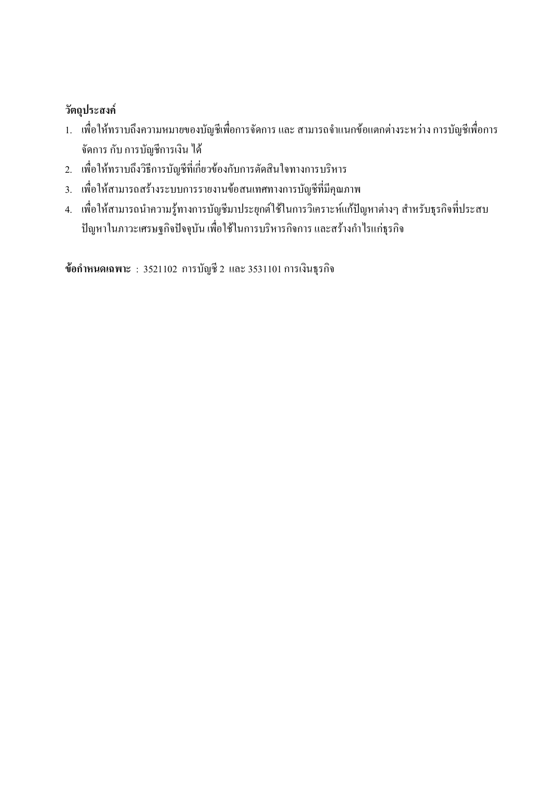## วัตถุประสงค์

- 1. เพื่อให้ทราบถึงความหมายของบัญชีเพื่อการจัดการ และ สามารถจำแนกข้อแตกต่างระหว่าง การบัญชีเพื่อการ จัดการ กับ การบัญชีการเงิน ได้
- 2. เพื่อให้ทราบถึงวิธีการบัญชีที่เกี่ยวข้องกับการตัดสินใจทางการบริหาร
- 3. เพื่อให้สามารถสร้างระบบการรายงานข้อสนเทศทางการบัญชีที่มีคุณภาพ
- 4. เพื่อให้สามารถนำความรู้ทางการบัญชีมาประยุกต์ใช้ในการวิเคราะห์แก้ปัญหาต่างๆ สำหรับธุรกิจที่ประสบ ปัญหาในภาวะเศรษฐกิจปัจจุบัน เพื่อใช้ในการบริหารกิจการ และสร้างกำไรแก่ธุรกิจ

ข้อกำหนดเฉพาะ : 3521102 การบัญชี 2 และ 3531101 การเงินธุรกิจ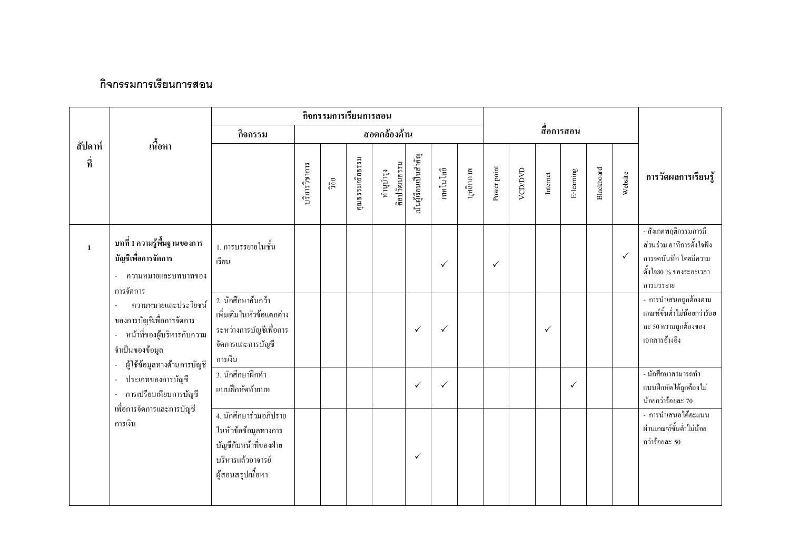### กิจกรรมการเรียนการสอน

|                |                                                                                                                                  |                                                                                                                    |               |       | กิจกรรมการเรียนการสอน |                           |                       |              |           |              |         |                                                  |              |            |              |                                                                                                                    |
|----------------|----------------------------------------------------------------------------------------------------------------------------------|--------------------------------------------------------------------------------------------------------------------|---------------|-------|-----------------------|---------------------------|-----------------------|--------------|-----------|--------------|---------|--------------------------------------------------|--------------|------------|--------------|--------------------------------------------------------------------------------------------------------------------|
|                |                                                                                                                                  | กิจกรรม                                                                                                            |               |       |                       | สอดคล้องด้าน              |                       |              |           |              |         |                                                  | สื่อการสอน   |            |              |                                                                                                                    |
| สัปดาห์<br>ที่ | เนื้อหา                                                                                                                          |                                                                                                                    | บริการวิชาการ | ີງຈັຍ | คุณธรรมจริยธรรม       | ศิลปวัฒนธรรม<br>ทำนูบำรุง | นั้นผู้เรียนเป็นสำคัญ | เทคโนโลยี    | บุคลิกภาพ | Power point  | VCD/DVD | $\begin{array}{c} \textbf{Internet} \end{array}$ | E-learning   | Blackboard | Website      | การวัดผลการเรียนรู้                                                                                                |
| $\mathbf{1}$   | บทที่ 1 ความรู้พื้นฐานของการ<br>บัญชีเพื่อการจัดการ<br>ความหมายและบทบาทของ<br>การจัดการ                                          | 1. การบรรยายในชั้น<br>เรียน                                                                                        |               |       |                       |                           |                       | $\checkmark$ |           | $\checkmark$ |         |                                                  |              |            | $\checkmark$ | - สังเกตพฤติกรรมการมี<br>ส่วนร่วม อาทิการตั้งใจฟัง<br>การจดบันทึก โดยมีความ<br>ตั้งใจ80 % ของระยะเวลา<br>การบรรยาย |
|                | ความหมายและประโยชน์<br>ของการบัญชีเพื่อการจัดการ<br>หน้าที่ของผู้บริหารกับความ<br>จำเป็นของข้อมูล<br>ผู้ใช้ข้อมูลทางค้านการบัญชี | 2. นักศึกษาค้นคว้า<br>เพิ่มเติมในหัวข้อแตกต่าง<br>ระหว่างการบัญชีเพื่อการ<br>จัดการและการบัญชี<br>การเงิน          |               |       |                       |                           | $\checkmark$          | $\checkmark$ |           |              |         | $\checkmark$                                     |              |            |              | - การนำเสนอถูกต้องตาม<br>เกณฑ์ขั้นต่ำไม่น้อยกว่าร้อย<br>ละ 50 ความถูกต้องของ<br>เอกสารอ้างอิง                      |
|                | ประเภทของการบัญชี<br>$\sim$<br>การเปรียบเทียบการบัญชี<br>$\overline{\phantom{a}}$                                                | 3. นักศึกษาฝึกทำ<br>แบบฝึกหัดท้ายบท                                                                                |               |       |                       |                           | $\checkmark$          | $\checkmark$ |           |              |         |                                                  | $\checkmark$ |            |              | - นักศึกษาสามารถทำ<br>แบบฝึกหัดได้ถูกต้องไม่<br>น้อยกว่าร้อยละ 70                                                  |
|                | เพื่อการจัดการและการบัญชี<br>การเงิน                                                                                             | 4. นักศึกษาร่วมอภิปราย<br>ในหัวข้อข้อมูลทางการ<br>บัญชีกับหน้าที่ของฝ่าย<br>บริหารแล้วอาจารย์<br>ผู้สอนสรุปเนื้อหา |               |       |                       |                           | $\checkmark$          |              |           |              |         |                                                  |              |            |              | - การนำเสนอได้คะแนน<br>ผ่านเกณฑ์ขั้นต่ำไม่น้อย<br>กว่าร้อยละ 50                                                    |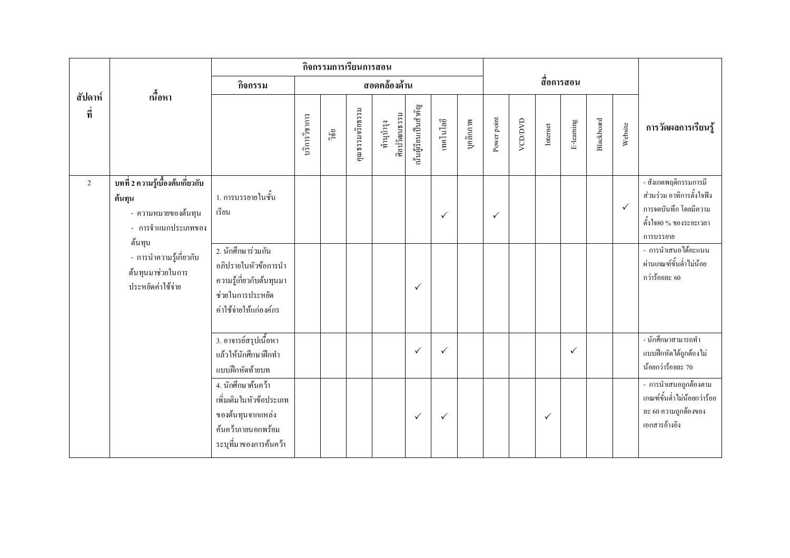|                |                                                                                                                                |                                                                                                                    |               | กิจกรรมการเรียนการสอน |                 |                           |                       |              |           |              |         |              |              |            |              |                                                                                                                                                                      |
|----------------|--------------------------------------------------------------------------------------------------------------------------------|--------------------------------------------------------------------------------------------------------------------|---------------|-----------------------|-----------------|---------------------------|-----------------------|--------------|-----------|--------------|---------|--------------|--------------|------------|--------------|----------------------------------------------------------------------------------------------------------------------------------------------------------------------|
|                | เนื้อหา                                                                                                                        | กิจกรรม                                                                                                            |               |                       |                 | สอดคล้องด้าน              |                       |              |           |              |         |              | สื่อการสอน   |            |              |                                                                                                                                                                      |
| สัปดาห์<br>ที่ |                                                                                                                                |                                                                                                                    | บริการวิชาการ | วิจัย                 | คุณธรรมจริยธรรม | ศิลปวัฒนธรรม<br>ทำนุบำรุง | นั้นผู้เรียนเป็นสำคัญ | เทคโนโลยี    | บุคลิกภาพ | Power point  | VCD/DVD | Internet     | E-learning   | Blackboard | Website      | การวัดผลการเรียนรู้                                                                                                                                                  |
| 2              | บทที่ 2 ความรู้เบื้องต้นเกี่ยวกับ<br>ต้นทุน<br>- ความหมายของต้นทุน<br>- การจำแนกประเภทของ<br>ด้นทุน<br>- การนำความรู้เกี่ยวกับ | 1. การบรรยายในชั้น<br>เรียน<br>2. นักศึกษาร่วมกัน<br>อกิปรายในหัวข้อการนำ                                          |               |                       |                 |                           |                       | $\checkmark$ |           | $\checkmark$ |         |              |              |            | $\checkmark$ | - สังเกตพฤติกรรมการมี<br>ส่วนร่วม อาทิการตั้งใจฟัง<br>การจดบันทึก โดยมีความ<br>คั้งใจ80 % ของระยะเวลา<br>การบรรยาย<br>- การนำเสนอได้คะแนน<br>ผ่านเกณฑ์ขั้นต่ำไม่น้อย |
|                | ด้นทุนมาช่วยในการ<br>ประหยัดค่าใช้จ่าย                                                                                         | ความรู้เกี่ยวกับต้นทุนมา<br>ช่วยในการประหยัด<br>ค่าใช้จ่ายให้แก่องค์กร                                             |               |                       |                 |                           | $\checkmark$          |              |           |              |         |              |              |            |              | กว่าร้อยละ 60                                                                                                                                                        |
|                |                                                                                                                                | 3. อาจารย์สรุปเนื้อหา<br>แล้วให้นักศึกษาฝึกทำ<br>แบบฝึกหัดท้ายบท                                                   |               |                       |                 |                           | $\checkmark$          | $\checkmark$ |           |              |         |              | $\checkmark$ |            |              | - นักศึกษาสามารถทำ<br>แบบฝึกหัดได้ถูกต้องไม่<br>น้อยกว่าร้อยละ 70                                                                                                    |
|                |                                                                                                                                | 4. นักศึกษาค้นคว้า<br>เพิ่มเติมในหัวข้อประเภท<br>ของต้นทุนจากแหล่ง<br>ค้นคว้าภายนอกพร้อม<br>ระบุที่มาของการค้นคว้า |               |                       |                 |                           | $\checkmark$          | $\checkmark$ |           |              |         | $\checkmark$ |              |            |              | - การนำเสนอถูกต้องตาม<br>เกณฑ์ขั้นต่ำไม่น้อยกว่าร้อย<br>ละ 60 ความถูกต้องของ<br>เอกสารอ้างอิง                                                                        |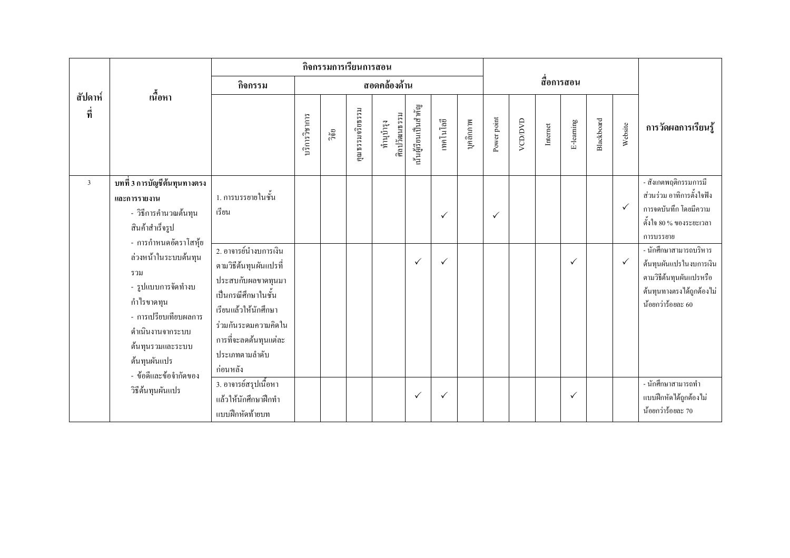|                |                                                                                                                                                                                                              |                                                                                                                                                                             |               | กิจกรรมการเรียนการสอน |                |                           |                       |                              |           |              |         |          |              |            |                              |                                                                                                                                                                                                                                                       |
|----------------|--------------------------------------------------------------------------------------------------------------------------------------------------------------------------------------------------------------|-----------------------------------------------------------------------------------------------------------------------------------------------------------------------------|---------------|-----------------------|----------------|---------------------------|-----------------------|------------------------------|-----------|--------------|---------|----------|--------------|------------|------------------------------|-------------------------------------------------------------------------------------------------------------------------------------------------------------------------------------------------------------------------------------------------------|
|                |                                                                                                                                                                                                              | กิจกรรม                                                                                                                                                                     |               |                       |                | สอดคล้องด้าน              |                       |                              |           |              |         |          | สื่อการสอน   |            |                              |                                                                                                                                                                                                                                                       |
| สัปดาห์<br>ที่ | ้เนื้อหา                                                                                                                                                                                                     |                                                                                                                                                                             | บริการวิชาการ | ີ້າຍ                  | าณธรรมจริยธรรม | ศิลปวัฒนธรรม<br>ทำนุบำรุง | นั้นผู้เรียนเป็นสำคัญ | เทคโนโลยี                    | บุคลิกภาพ | Power point  | VCD/DVD | Internet | E-learning   | Blackboard | Website                      | การวัดผลการเรียนรู้                                                                                                                                                                                                                                   |
| $\mathfrak{Z}$ | บทที่ 3 การบัญชีต้นทุนทางตรง<br>และการรายงาน<br>- วิธีการคำนวณต้นทุน<br>สินค้าสำเร็จรูป<br>- การกำหนดอัตราโสหุ้ย<br>ล่วงหน้าในระบบด้นทุน<br>รวม<br>- รูปแบบการจัดทำงบ<br>กำไรขาดทุน<br>- การเปรียบเทียบผลการ | 1. การบรรยายในชั้น<br>เรียน<br>2. อาจารย์นำงบการเงิน<br>ตามวิธีต้นทุนผันแปรที่<br>ประสบกับผลขาดทุนมา<br>เป็นกรณีศึกษาในชั้น<br>เรียนแล้วให้นักศึกษา<br>ร่วมกันระคมความคิดใน |               |                       |                |                           | $\checkmark$          | $\checkmark$<br>$\checkmark$ |           | $\checkmark$ |         |          | $\checkmark$ |            | $\checkmark$<br>$\checkmark$ | - สังเกตพฤติกรรมการมี<br>ส่วนร่วม อาทิการตั้งใจฟัง<br>การจดบันทึก โดยมีความ<br>คั้งใจ 80 % ของระยะเวลา<br>การบรรยาย<br>- นักศึกษาสามารถบริหาร<br>ด้นทุนผันแปรในงบการเงิน<br>ตามวิธีต้นทุนผันแปรหรือ<br>ด้นทุนทางตรงได้ถูกต้องไม่<br>น้อยกว่าร้อยละ 60 |
|                | คำเนินงานจากระบบ<br>ด้นทุนรวมและระบบ<br>ด้นทุนผันแปร<br>- ข้อดีและข้อจำกัดของ<br>วิธีด้นทุนผันแปร                                                                                                            | การที่จะลดด้นทุนแต่ละ<br>ประเภทตามลำดับ<br>ก่อนหลัง<br>3. อาจารย์สรุปเนื้อหา<br>แล้วให้นักศึกษาฝึกทำ<br>แบบฝึกหัดท้ายบท                                                     |               |                       |                |                           | $\checkmark$          | $\checkmark$                 |           |              |         |          | $\checkmark$ |            |                              | - นักศึกษาสามารถทำ<br>แบบฝึกหัดได้ถูกต้องไม่<br>น้อยกว่าร้อยละ 70                                                                                                                                                                                     |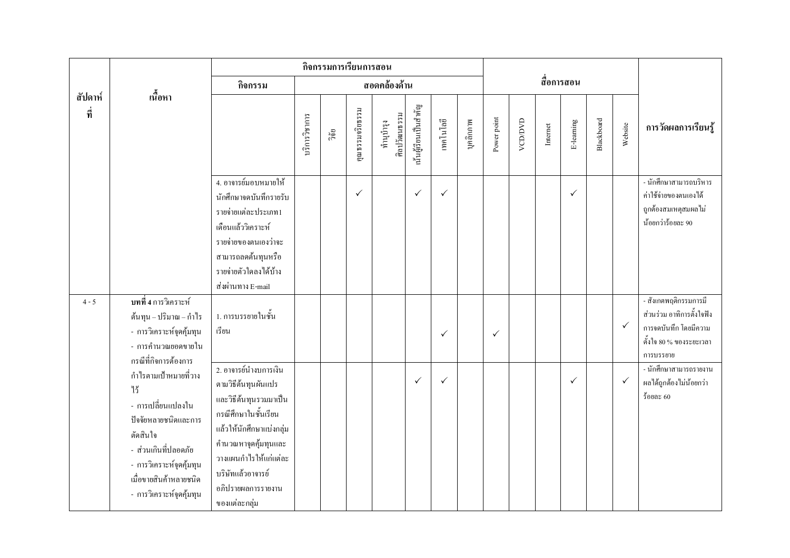|                |                                                                                                                                                                                                 |                                                                                                                                                                                                                                         |               | กิจกรรมการเรียนการสอน |                 |                           |                       |              |           |              |         |            |              |            |              |                                                                                                                     |
|----------------|-------------------------------------------------------------------------------------------------------------------------------------------------------------------------------------------------|-----------------------------------------------------------------------------------------------------------------------------------------------------------------------------------------------------------------------------------------|---------------|-----------------------|-----------------|---------------------------|-----------------------|--------------|-----------|--------------|---------|------------|--------------|------------|--------------|---------------------------------------------------------------------------------------------------------------------|
|                |                                                                                                                                                                                                 | กิจกรรม                                                                                                                                                                                                                                 |               |                       |                 | สอดคล้องด้าน              |                       |              |           |              |         | สื่อการสอน |              |            |              |                                                                                                                     |
| สัปดาห์<br>ที่ | เนื้อหา                                                                                                                                                                                         |                                                                                                                                                                                                                                         | บริการวิชาการ | ួតិ<br>កិ             | คุณธรรมจริยธรรม | ศิลปวัฒนธรรม<br>ทำนูบำรุง | นั้นผู้เรียนเป็นสำคัญ | เทคโนโลยี    | บุคลิกภาพ | Power point  | VCD/DVD | Internet   | E-learning   | Blackboard | Website      | การวัดผลการเรียนรู้                                                                                                 |
|                |                                                                                                                                                                                                 | 4. อาจารย์มอบหมายให้<br>นักศึกษาจดบันทึกรายรับ<br>รายจ่ายแต่ละประเภท1<br>เคือนแล้ววิเคราะห์<br>รายจ่ายของตนเองว่าจะ<br>สามารถลดต้นทุนหรือ<br>รายจ่ายตัวใดลงได้บ้าง<br>ส่งผ่านทาง E-mail                                                 |               |                       | $\checkmark$    |                           | $\checkmark$          | $\checkmark$ |           |              |         |            | $\checkmark$ |            |              | <u>- นักศึ</u> กษาสามารถบริหาร<br>ค่าใช้จ่ายของตนเองได้<br>ถูกต้องสมเหตุสมผลไม่<br>น้อยกว่าร้อยละ 90                |
| $4 - 5$        | <b>ิบทที่ 4</b> การวิเคราะห์<br>ด้นทุน – ปริมาณ – กำไร<br>- การวิเคราะห์จุดคุ้มทุน<br>- การคำนวณยอดขายใน<br>กรณีที่กิจการต้องการ                                                                | 1. การบรรยายในชั้น<br>เรียน                                                                                                                                                                                                             |               |                       |                 |                           |                       | $\checkmark$ |           | $\checkmark$ |         |            |              |            | $\checkmark$ | - สังเกตพฤติกรรมการมี<br>ส่วนร่วม อาทิการตั้งใจฟัง<br>การจดบันทึก โดยมีความ<br>คั้งใจ 80 % ของระยะเวลา<br>การบรรยาย |
|                | กำไรตามเป้าหมายที่วาง<br>ๆร<br>- การเปลี่ยนแปลงใน<br>ปัจจัยหลายชนิดและการ<br>ตัดสินใจ<br>- ส่วนเกินที่ปลอดภัย<br>- การวิเคราะห์จุดคุ้มทุน<br>เมื่อขายสินค้าหลายชนิด<br>- การวิเคราะห์จุดคุ้มทุน | 2. อาจารย์นำงบการเงิน<br>ตามวิธีต้นทุนผันแปร<br>และวิธีด้นทุนรวมมาเป็น<br>กรณีศึกษาในชั้นเรียน<br>แล้วให้นักศึกษาแบ่งกลุ่ม<br>คำนวณหาจุดคุ้มทุนและ<br>วางแผนกำไรให้แก่แต่ละ<br>บริษัทแล้วอาจารย์<br>อภิปรายผลการรายงาน<br>ของแต่ละกลุ่ม |               |                       |                 |                           | $\checkmark$          | $\checkmark$ |           |              |         |            | $\checkmark$ |            | $\checkmark$ | - นักศึกษาสามารถรายงาน<br>ผลได้ถูกต้องไม่น้อยกว่า<br>ร้อยละ $60$                                                    |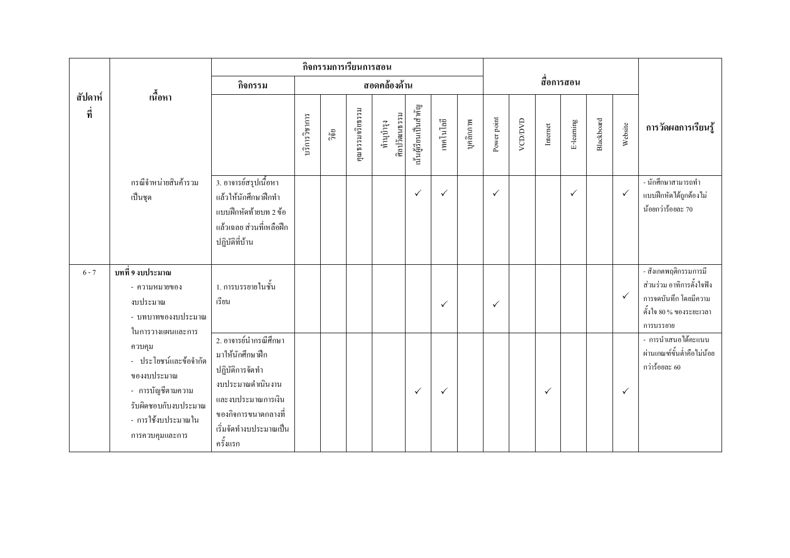|                |                                                                                                                                                           |                                                                                                                                                                        |               | กิจกรรมการเรียนการสอน |                 |                           |                       |              |           |              |               |              |              |            |              |                                                                                                                     |
|----------------|-----------------------------------------------------------------------------------------------------------------------------------------------------------|------------------------------------------------------------------------------------------------------------------------------------------------------------------------|---------------|-----------------------|-----------------|---------------------------|-----------------------|--------------|-----------|--------------|---------------|--------------|--------------|------------|--------------|---------------------------------------------------------------------------------------------------------------------|
|                |                                                                                                                                                           | กิจกรรม                                                                                                                                                                |               |                       |                 | สอดคล้องด้าน              |                       |              |           |              |               |              | สื่อการสอน   |            |              |                                                                                                                     |
| สัปดาห์<br>ที่ | เนื้อหา                                                                                                                                                   |                                                                                                                                                                        | บริการวิชาการ | วิจัย                 | คุณธรรมจริยธรรม | ศิลปวัฒนธรรม<br>ทำนุบำรุง | นั้นผู้เรียนเป็นสำคัญ | เทคโนโลยี    | บุคลิกภาพ | Power point  | <b>ACDOMD</b> | Internet     | E-learning   | Blackboard | Website      | การวัดผลการเรียนรู้                                                                                                 |
|                | กรณีจำหน่ายสินค้ารวม<br>เป็นชุด                                                                                                                           | 3. อาจารย์สรุปเนื้อหา<br>แล้วให้นักศึกษาฝึกทำ<br>แบบฝึกหัดท้ายบท 2 ข้อ<br>แล้วเฉลย ส่วนที่เหลือฝึก<br>ปฏิบัติที่บ้าน                                                   |               |                       |                 |                           | $\checkmark$          | $\checkmark$ |           | $\checkmark$ |               |              | $\checkmark$ |            | $\checkmark$ | - นักศึกษาสามารถทำ<br>แบบฝึกหัดได้ถูกต้องไม่<br>น้อยกว่าร้อยละ 70                                                   |
| $6 - 7$        | บทที่ 9 งบประมาณ<br>- ความหมายของ<br>งบประมาณ<br>- บทบาทของงบประมาณ                                                                                       | 1. การบรรยายในชั้น<br>เรียน                                                                                                                                            |               |                       |                 |                           |                       | $\checkmark$ |           | $\checkmark$ |               |              |              |            | $\checkmark$ | - สังเกตพฤติกรรมการมี<br>ส่วนร่วม อาทิการตั้งใจฟัง<br>การจดบันทึก โดยมีความ<br>คั้งใจ 80 % ของระยะเวลา<br>การบรรยาย |
|                | ในการวางแผนและการ<br>ควบคุม<br>- ประโยชน์และข้อจำกัด<br>ของงบประมาณ<br>- การบัญชีตามความ<br>รับผิดชอบกับงบประมาณ<br>- การใช้งบประมาณใน<br>การควบคุมและการ | 2. อาจารย์นำกรณีศึกษา<br>มาให้นักศึกษาฝึก<br>ปฏิบัติการจัดทำ<br>งบประมาณคำเนินงาน<br>และงบประมาณการเงิน<br>ึของกิจการขนาดกลางที่<br>เริ่มจัดทำงบประมาณเป็น<br>ครั้งแรก |               |                       |                 |                           | $\checkmark$          | $\checkmark$ |           |              |               | $\checkmark$ |              |            | $\checkmark$ | - การนำเสนอได้คะแนน<br>ผ่านเกณฑ์ขั้นต่ำคือไม่น้อย<br>กว่าร้อยละ 60                                                  |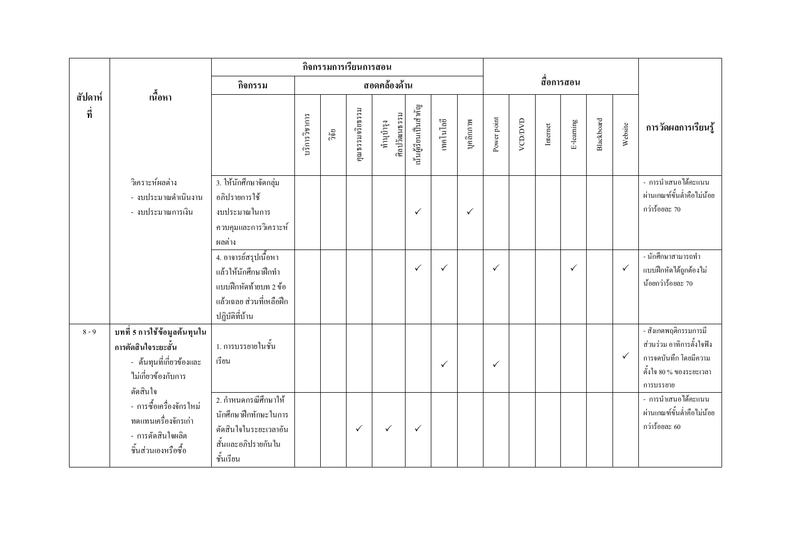|                |                                                                                                                    |                                                                                                                      |               | กิจกรรมการเรียนการสอน |                 |                           |                       |              |              |              |               |          |              |            |              |                                                                                                                     |
|----------------|--------------------------------------------------------------------------------------------------------------------|----------------------------------------------------------------------------------------------------------------------|---------------|-----------------------|-----------------|---------------------------|-----------------------|--------------|--------------|--------------|---------------|----------|--------------|------------|--------------|---------------------------------------------------------------------------------------------------------------------|
|                |                                                                                                                    | กิจกรรม                                                                                                              |               |                       |                 | สอดคล้องด้าน              |                       |              |              |              |               |          | สื่อการสอน   |            |              |                                                                                                                     |
| สัปดาห์<br>ที่ | เนื้อหา                                                                                                            |                                                                                                                      | บริการวิชาการ | ີ້າຍ                  | คุณธรรมจริยธรรม | ศิลปวัฒนธรรม<br>ทำนุบำรุง | นั้นผู้เรียนเป็นสำคัญ | เทคโนโลยี    | บุคลิกภาพ    | Power point  | <b>ACDOMD</b> | Internet | E-learning   | Blackboard | Website      | การวัดผลการเรียนรู้                                                                                                 |
|                | วิเคราะห์ผลต่าง<br>- งบประมาณคำเนินงาน<br>- งบประมาณการเงิน                                                        | 3. ให้นักศึกษาจัดกลุ่ม<br>อภิปรายการใช้<br>งบประมาณในการ<br>ควบคุมและการวิเคราะห์<br>ผลต่าง                          |               |                       |                 |                           | $\checkmark$          |              | $\checkmark$ |              |               |          |              |            |              | - การนำเสนอได้คะแนน<br>ผ่านเกณฑ์ขั้นต่ำคือไม่น้อย<br>กว่าร้อยละ 70                                                  |
|                |                                                                                                                    | 4. อาจารย์สรุปเนื้อหา<br>แล้วให้นักศึกษาฝึกทำ<br>แบบฝึกหัดท้ายบท 2 ข้อ<br>แล้วเฉลย ส่วนที่เหลือฝึก<br>ปฏิบัติที่บ้าน |               |                       |                 |                           | $\checkmark$          | $\checkmark$ |              | $\checkmark$ |               |          | $\checkmark$ |            | $\checkmark$ | - นักศึกษาสามารถทำ<br>แบบฝึกหัดได้ถูกต้องไม่<br>น้อยกว่าร้อยละ 70                                                   |
| $8 - 9$        | บทที่ 5 การใช้ข้อมูลต้นทุนใน<br>การตัดสินใจระยะสั้น<br>- ต้นทุนที่เกี่ยวข้องและ<br>ไม่เกี่ยวข้องกับการ<br>ต้ดสินใจ | 1. การบรรยายในชั้น<br>เรียน                                                                                          |               |                       |                 |                           |                       | $\checkmark$ |              | $\checkmark$ |               |          |              |            | $\checkmark$ | - สังเกตพฤติกรรมการมี<br>ส่วนร่วม อาทิการตั้งใจฟัง<br>การจดบันทึก โดยมีความ<br>คั้งใจ 80 % ของระยะเวลา<br>การบรรยาย |
|                | - การซื้อเครื่องจักรใหม่<br>ทดแทนเครื่องจักรเก่า<br>- การตัดสินใจผลิต<br>ชิ้นส่วนเองหรือซื้อ                       | 2. กำหนดกรณีศึกษาให้<br>นักศึกษาฝึกทักษะในการ<br>ตัดสินใจในระยะเวลาอัน<br>สั้นและอภิปรายกันใน<br>ชั้นเรียน           |               |                       | $\checkmark$    | $\checkmark$              | $\checkmark$          |              |              |              |               |          |              |            |              | - การนำเสนอได้คะแนน<br>ผ่านเกณฑ์ขั้นต่ำคือไม่น้อย<br>กว่าร้อยละ $60$                                                |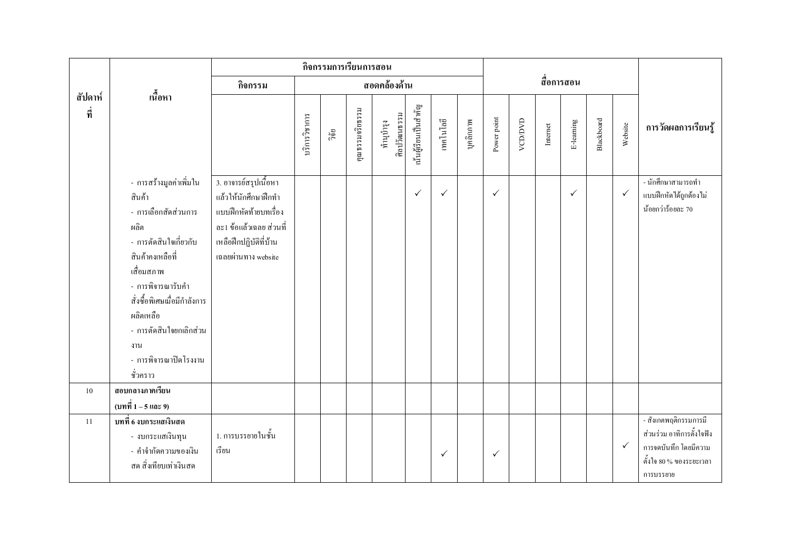|                |                                                                                                                                                                                                                                                                        |                                                                                                                                                    |               | กิจกรรมการเรียนการสอน |                 |                           |                       |              |           |              |         |          |              |            |              |                                                                                                                     |
|----------------|------------------------------------------------------------------------------------------------------------------------------------------------------------------------------------------------------------------------------------------------------------------------|----------------------------------------------------------------------------------------------------------------------------------------------------|---------------|-----------------------|-----------------|---------------------------|-----------------------|--------------|-----------|--------------|---------|----------|--------------|------------|--------------|---------------------------------------------------------------------------------------------------------------------|
|                |                                                                                                                                                                                                                                                                        | กิจกรรม                                                                                                                                            |               |                       |                 | สอดคล้องด้าน              |                       |              |           |              |         |          | สื่อการสอน   |            |              |                                                                                                                     |
| สัปดาห์<br>ที่ | เนื้อหา                                                                                                                                                                                                                                                                |                                                                                                                                                    | บริการวิชาการ | ີ້າຢ້                 | คุณธรรมจริยธรรม | ศิลปวัฒนธรรม<br>ทำนูบำรุง | นั้นผู้เรียนเป็นสำคัญ | เทคโนโลยี    | บุคลิกภาพ | Power point  | VCD/DVD | Internet | E-learning   | Blackboard | Website      | การวัดผลการเรียนรู้                                                                                                 |
|                | - การสร้างมูลค่าเพิ่มใน<br>สินค้า<br>- การเลือกสัดส่วนการ<br>ผลิต<br>- การตัดสินใจเกี่ยวกับ<br>สินค้าคงเหลือที่<br>เสื่อมสภาพ<br>- การพิจารณารับคำ<br>สั่งซื้อพิเศษเมื่อมีกำลังการ<br>ผลิตเหลือ<br>- การตัดสินใจยกเลิกส่วน<br>งาน<br>- การพิจารณาปิดโรงงาน<br>ชั่วคราว | 3. อาจารย์สรุปเนื้อหา<br>แล้วให้นักศึกษาฝึกทำ<br>แบบฝึกหัดท้ายบทเรื่อง<br>ละ1 ข้อแล้วเฉลย ส่วนที่<br>เหลือฝึกปฏิบัติที่บ้าน<br>เฉลยผ่านทาง website |               |                       |                 |                           | $\checkmark$          | $\checkmark$ |           | $\checkmark$ |         |          | $\checkmark$ |            | $\checkmark$ | - นักศึกษาสามารถทำ<br>แบบฝึกหัดใค้ถูกต้องไม่<br>น้อยกว่าร้อยละ 70                                                   |
| 10             | สอบกลางภาคเรียน                                                                                                                                                                                                                                                        |                                                                                                                                                    |               |                       |                 |                           |                       |              |           |              |         |          |              |            |              |                                                                                                                     |
| 11             | (บทที่ 1 – 5 และ 9)<br>บทที่ 6 งบกระแสเงินสด<br>- งบกระแสเงินทุน<br>- คำจำกัดความของเงิน<br>สด สิ่งเทียบเท่าเงินสด                                                                                                                                                     | 1. การบรรยายในชั้น<br>เรียน                                                                                                                        |               |                       |                 |                           |                       | $\checkmark$ |           | $\checkmark$ |         |          |              |            | $\checkmark$ | - สังเกตพฤติกรรมการมี<br>ส่วนร่วม อาทิการตั้งใจฟัง<br>การจดบันทึก โดยมีความ<br>คั้งใจ 80 % ของระยะเวลา<br>การบรรยาย |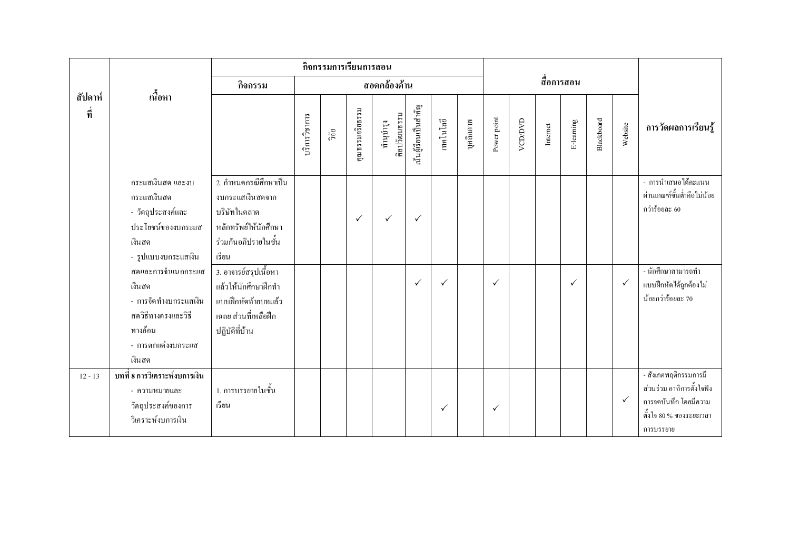|                |                                                                                                                         |                                                                                                                     |               | กิจกรรมการเรียนการสอน |                 |                           |                       |              |           |              |         |          |              |            |              |                                                                                                                     |
|----------------|-------------------------------------------------------------------------------------------------------------------------|---------------------------------------------------------------------------------------------------------------------|---------------|-----------------------|-----------------|---------------------------|-----------------------|--------------|-----------|--------------|---------|----------|--------------|------------|--------------|---------------------------------------------------------------------------------------------------------------------|
|                |                                                                                                                         | กิจกรรม                                                                                                             |               |                       |                 | สอดคล้องด้าน              |                       |              |           |              |         |          | สื่อการสอน   |            |              |                                                                                                                     |
| สัปดาห์<br>ที่ | เนื้อหา                                                                                                                 |                                                                                                                     | บริการวิชาการ | วิจัย                 | คุณธรรมจริยธรรม | ศิลปวัฒนธรรม<br>ทำนุบำรุง | นั้นผู้เรียนเป็นสำคัญ | เทคโนโลยี    | บุคลิกภาพ | Power point  | VCD/DVD | Internet | E-learning   | Blackboard | Website      | การวัดผลการเรียนรู้                                                                                                 |
|                | กระแสเงินสด และงบ<br>กระแสเงินสด<br>- วัตถุประสงค์และ<br>ประโยชน์ของงบกระแส<br>เงินสด<br>- รูปแบบงบกระแสเงิน            | 2. กำหนดกรณีศึกษาเป็น<br>งบกระแสเงินสดจาก<br>บริษัทในตลาด<br>หลักทรัพย์ให้นักศึกษา<br>ร่วมกันอภิปรายในชั้น<br>เรียน |               |                       | $\checkmark$    | $\checkmark$              | $\checkmark$          |              |           |              |         |          |              |            |              | - การนำเสนอได้คะแนน<br>ผ่านเกณฑ์ขั้นต่ำคือไม่น้อย<br>กว่าร้อยละ $60$                                                |
|                | สดและการจำแนกกระแส<br>เงินสด<br>- การจัดทำงบกระแสเงิน<br>สควิธีทางตรงและวิธี<br>ทางอ้อม<br>- การตกแต่งงบกระแส<br>เงินสด | 3. อาจารย์สรุปเนื้อหา<br>แล้วให้นักศึกษาฝึกทำ<br>แบบฝึกหัดท้ายบทแล้ว<br>เฉลย ส่วนที่เหลือฝึก<br>ปฏิบัติที่บ้าน      |               |                       |                 |                           | $\checkmark$          | $\checkmark$ |           | $\checkmark$ |         |          | $\checkmark$ |            | $\checkmark$ | - นักศึกษาสามารถทำ<br>แบบฝึกหัดได้ถูกต้องไม่<br>น้อยกว่าร้อยละ 70                                                   |
| $12 - 13$      | บทที่ 8 การวิเคราะห์งบการเงิน<br>- ความหมายและ<br>วัตถุประสงค์ของการ<br>วิเคราะห์งบการเงิน                              | 1. การบรรยายในชั้น<br>เรียน                                                                                         |               |                       |                 |                           |                       | $\checkmark$ |           | $\checkmark$ |         |          |              |            | $\checkmark$ | - สังเกตพฤติกรรมการมี<br>ส่วนร่วม อาทิการตั้งใจฟัง<br>การจดบันทึก โดยมีความ<br>คั้งใจ 80 % ของระยะเวลา<br>การบรรยาย |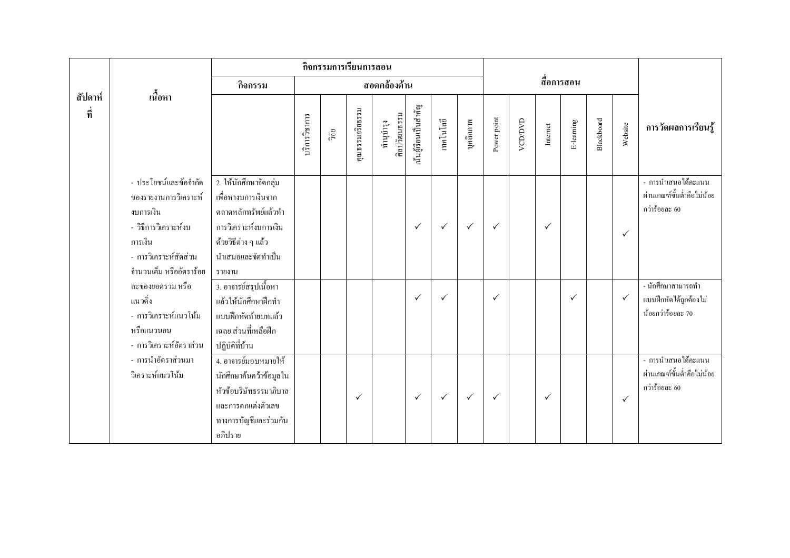|                |                                                                                                                                                    |                                                                                                                                                        |               | กิจกรรมการเรียนการสอน |                 |                           |                       |              |              |              |         |              |              |            |              |                                                                    |
|----------------|----------------------------------------------------------------------------------------------------------------------------------------------------|--------------------------------------------------------------------------------------------------------------------------------------------------------|---------------|-----------------------|-----------------|---------------------------|-----------------------|--------------|--------------|--------------|---------|--------------|--------------|------------|--------------|--------------------------------------------------------------------|
|                |                                                                                                                                                    | กิจกรรม                                                                                                                                                |               |                       |                 | สอดคล้องด้าน              |                       |              |              |              |         |              | สื่อการสอน   |            |              |                                                                    |
| สัปดาห์<br>ที่ | ้เนื้อหา                                                                                                                                           |                                                                                                                                                        | บริการวิชาการ | ີ້າຢ້                 | คุณธรรมจริยธรรม | ศิลปวัฒนธรรม<br>ทำนุบำรุง | นั้นผู้เรียนเป็นสำคัญ | เทคโนโลยี    | บุคลิกภาพ    | Power point  | VCD/DVD | Internet     | E-learning   | Blackboard | Website      | การวัดผลการเรียนรู้                                                |
|                | - ประโยชน์และข้อจำกัด<br>ของรายงานการวิเคราะห์<br>งบการเงิน<br>- วิธีการวิเคราะห์งบ<br>การเงิน<br>- การวิเคราะห์สัดส่วน<br>จำนวนเต็ม หรืออัตราร้อย | 2. ให้นักศึกษาจัดกลุ่ม<br>้เพื่อหางบการเงินจาก<br>ตลาดหลักทรัพย์แล้วทำ<br>การวิเคราะห์งบการเงิน<br>ด้วยวิธีต่าง ๆ แล้ว<br>นำเสนอและจัดทำเป็น<br>รายงาน |               |                       |                 |                           | $\checkmark$          | $\checkmark$ | $\checkmark$ | $\checkmark$ |         | $\checkmark$ |              |            | $\checkmark$ | - การนำเสนอได้คะแนน<br>ผ่านเกณฑ์ขั้นต่ำคือไม่น้อย<br>กว่าร้อยละ 60 |
|                | ละของยอครวม หรือ<br>แนวดิ่ง<br>- การวิเคราะห์แนวโน้ม<br>หรือแนวนอน<br>- การวิเคราะห์อัตราส่วน                                                      | 3. อาจารย์สรุปเนื้อหา<br>แล้วให้นักศึกษาฝึกทำ<br>แบบฝึกหัดท้ายบทแล้ว<br>เฉลย ส่วนที่เหลือฝึก<br>ปฏิบัติที่บ้าน                                         |               |                       |                 |                           | $\checkmark$          | $\checkmark$ |              | $\checkmark$ |         |              | $\checkmark$ |            | $\checkmark$ | - นักศึกษาสามารถทำ<br>แบบฝึกหัดได้ถูกต้องไม่<br>น้อยกว่าร้อยละ 70  |
|                | - การนำอัตราส่วนมา<br>วิเคราะห์แนวโน้ม                                                                                                             | 4. อาจารย์มอบหมายให้<br>นักศึกษาค้นคว้าข้อมูลใน<br>หัวข้อบริษัทธรรมาภิบาล<br>และการตกแต่งตัวเลข<br>ทางการบัญชีและร่วมกัน<br>อภิปราย                    |               |                       | $\checkmark$    |                           | $\checkmark$          | $\checkmark$ | $\checkmark$ | $\checkmark$ |         | $\checkmark$ |              |            | $\checkmark$ | - การนำเสนอได้คะแนน<br>ผ่านเกณฑ์ขั้นต่ำคือไม่น้อย<br>กว่าร้อยละ 60 |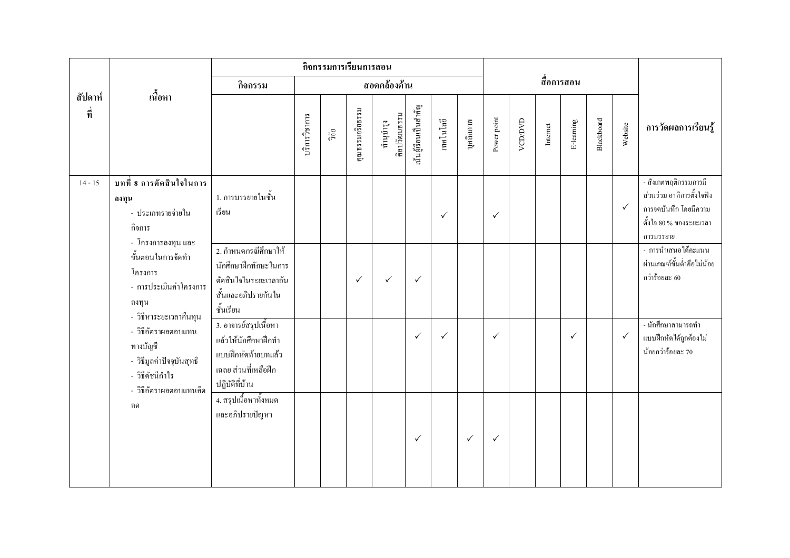|                |                                                                                                           |                                                                                                                |               |       | กิจกรรมการเรียนการสอน |                           |                       |              |              |              |               |                                                                                                                                                                                                                                                                                                                               |              |            |              |                                                                                                                     |
|----------------|-----------------------------------------------------------------------------------------------------------|----------------------------------------------------------------------------------------------------------------|---------------|-------|-----------------------|---------------------------|-----------------------|--------------|--------------|--------------|---------------|-------------------------------------------------------------------------------------------------------------------------------------------------------------------------------------------------------------------------------------------------------------------------------------------------------------------------------|--------------|------------|--------------|---------------------------------------------------------------------------------------------------------------------|
|                | เนื้อหา                                                                                                   | กิจกรรม                                                                                                        |               |       |                       | สอดคล้องด้าน              |                       |              |              |              |               |                                                                                                                                                                                                                                                                                                                               | สื่อการสอน   |            |              |                                                                                                                     |
| สัปดาห์<br>ที่ |                                                                                                           |                                                                                                                | บริการวิชาการ | วิจัย | คุณธรรมจริยธรรม       | ศิลปวัฒนธรรม<br>ทำนูบำรุง | นั้นผู้เรียนเป็นสำคัญ | เทคโนโลยี    | บุคลิกภาพ    | Power point  | <b>ACDOND</b> | $Internet% \begin{tabular}{lcccccc} \toprule & $b = 1$ & $b = 10$ & $b = 100$ & $b = 100$ & $b = 100$ & $b = 100$ & $b = 100$ & $b = 100$ & $b = 100$ & $b = 100$ & $b = 100$ & $b = 100$ & $b = 100$ & $b = 100$ & $b = 100$ & $b = 100$ & $b = 100$ & $b = 100$ & $b = 100$ & $b = 100$ & $b = 100$ & $b = 100$ & $b = 100$ | E-learning   | Blackboard | Website      | การวัดผลการเรียนรู้                                                                                                 |
| $14 - 15$      | บทที่ 8 การตัดสินใจในการ<br>ลงทุน<br>- ประเภทรายจ่ายใน<br>กิจการ<br>- โครงการลงทุน และ                    | 1. การบรรยายในชั้น<br>เรียน                                                                                    |               |       |                       |                           |                       | $\checkmark$ |              | $\checkmark$ |               |                                                                                                                                                                                                                                                                                                                               |              |            | $\checkmark$ | - สังเกตพฤติกรรมการมี<br>ส่วนร่วม อาทิการตั้งใจฟัง<br>การจดบันทึก โดยมีความ<br>คั้งใจ 80 % ของระยะเวลา<br>การบรรยาย |
|                | ขั้นตอนในการจัดทำ<br>โครงการ<br>- การประเมินค่าโครงการ<br>ิลงทุน<br>- วิธีหาระยะเวลาคืนทุน                | 2. กำหนดกรณีศึกษาให้<br>นักศึกษาฝึกทักษะในการ<br>ตัดสินใจในระยะเวลาอัน<br>สั้นและอภิปรายกันใน<br>ชั้นเรียน     |               |       | $\checkmark$          | $\checkmark$              | $\checkmark$          |              |              |              |               |                                                                                                                                                                                                                                                                                                                               |              |            |              | - การนำเสนอได้คะแนน<br>ผ่านเกณฑ์ขั้นต่ำคือไม่น้อย<br>กว่าร้อยละ 60                                                  |
|                | - วิธีอัตราผลตอบแทน<br>ทางบัญชี<br>- วิธีมูลค่าปัจจุบันสุทธิ<br>- วิธีดัชนีกำไร<br>- วิธีอัตราผลตอบแทนคิด | 3. อาจารย์สรุปเนื้อหา<br>แล้วให้นักศึกษาฝึกทำ<br>แบบฝึกหัดท้ายบทแล้ว<br>เฉลย ส่วนที่เหลือฝึก<br>ปฏิบัติที่บ้าน |               |       |                       |                           | $\checkmark$          | $\checkmark$ |              | $\checkmark$ |               |                                                                                                                                                                                                                                                                                                                               | $\checkmark$ |            | $\checkmark$ | - นักศึกษาสามารถทำ<br>แบบฝึกหัดได้ถูกต้องไม่<br>น้อยกว่าร้อยละ 70                                                   |
|                | ิสด                                                                                                       | ี 4. สรุปเนื้อหาทั้งหมด<br>และอภิปรายปัญหา                                                                     |               |       |                       |                           | $\checkmark$          |              | $\checkmark$ | $\checkmark$ |               |                                                                                                                                                                                                                                                                                                                               |              |            |              |                                                                                                                     |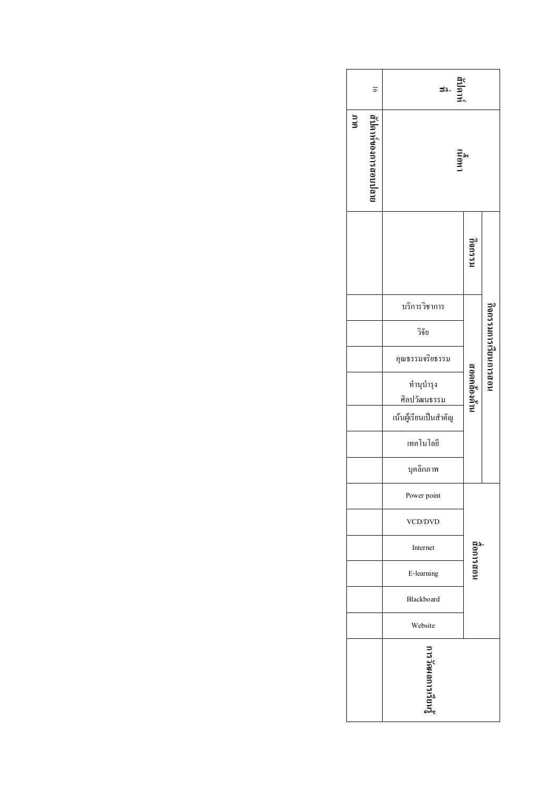|     | 51                    | ที่ปดาห่<br>3∆.                                            |             |                      |
|-----|-----------------------|------------------------------------------------------------|-------------|----------------------|
| ana | เริปคาห์ของการสอบปลาย | เนอนเ                                                      |             |                      |
|     |                       |                                                            | เรากรร์     |                      |
|     |                       | บริการวิชาการ                                              |             |                      |
|     |                       | วิจัย                                                      |             |                      |
|     |                       | กุณธรรมจริยธรรม                                            |             | คือกรารเกินยินการสอน |
|     |                       | ทำนุบำรุง<br>ศิลปวัฒน <u>ธรรม</u><br>เน้นผู้เรียนเป็นสำคัญ | เทศลอดคลคาน |                      |
|     |                       | เทคโนโลยี                                                  |             |                      |
|     |                       | บุคลิกภาพ                                                  |             |                      |
|     |                       | Power point                                                |             |                      |
|     |                       | <b>VCD/DVD</b>                                             |             |                      |
|     |                       | Internet                                                   |             |                      |
|     |                       | E-learning                                                 | นดกรกดา     |                      |
|     |                       | Blackboard                                                 |             |                      |
|     |                       | Website                                                    |             |                      |
|     |                       | ไร้<br>เราเริ่มกลกวรเรียนรู้                               |             |                      |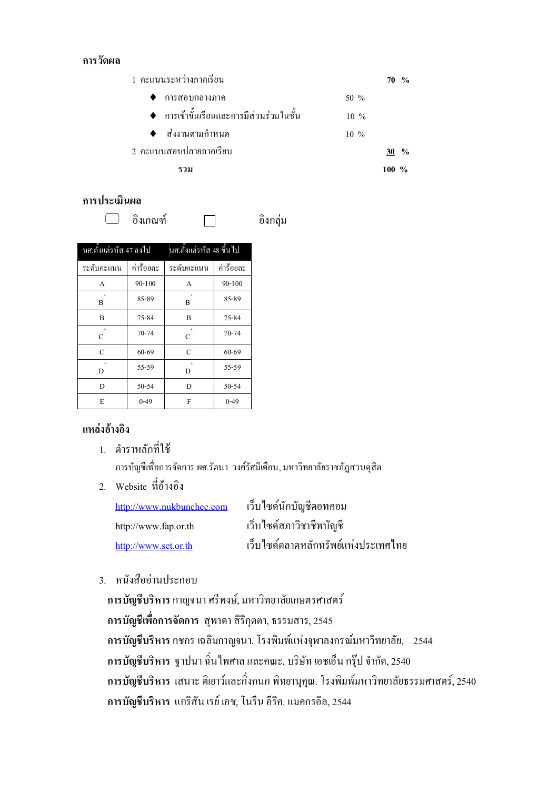#### การวัดผล

1 คะแนนระหว่างภาคเรียน  $70\frac{6}{6}$  $\blacklozenge$  การสอบกลางภาค 50 % ♦ การเข้าขั้นเรียนและการมีส่วนร่วมในชั้น  $10\%$ ส่งงานตามกำหนด  $\blacktriangle$  $10\%$ 2 คะแนนสอบปลายภาคเรียน  $30\frac{9}{6}$ รวม  $100 \frac{9}{6}$ 

อิงกล่ม

#### การประเมินผล

<u>คิงเกณ</u>ฑ์  $\Box$ 

 $\Box$ 

นศ.ตั้งแต่รหัส 47 ลงไป นศ.ตั้งแต่รหัส 48 ขึ้นไป ระดับคะแนน ค่าร้อยละ ระดับคะแนน ค่าร้อยละ  $90 - 100$  $90 - 100$  $\overline{A}$  $\overline{A}$ 85-89 85-89  $\overline{B}$  $\overline{B}$  $\, {\bf B}$  $\, {\bf B}$  $75 - 84$ 75-84  $70 - 74$  $\overline{C}$  $70 - 74$  $\overline{C}$  $\overline{C}$  $\overline{C}$  $60 - 69$  $60 - 69$  $55 - 59$ 55-59  $\bar{\rm D}$  $\overline{D}$  $\mathbf D$  $50 - 54$  $\bar{\rm D}$ 50-54  $\overline{E}$  $0 - 49$  $\overline{F}$  $0 - 49$ 

#### แหล่งอ้างอิง

1. ตำราหลักที่ใช้

การบัญชีเพื่อการจัดการ ผศ.รัตนา วงศ์รัศมีเดือน, มหาวิทยาลัยราชภัฏสวนดุสิต

2. Website ที่อ้างอิง

| http://www.nukbunchee.com | เว็บใซด์นักบัญชีดอทคอม               |
|---------------------------|--------------------------------------|
| http://www.fap.or.th      | เว็บใซด์สภาวิชาชีพบัญชี              |
| http://www.set.or.th      | ้เว็บไซด์ตลาดหลักทรัพย์แห่งประเทศไทย |

3. หนังสืออ่านประกอบ

ิการบัญชีบริหาร กาญจนา ศรีพงษ์, มหาวิทยาลัยเกษตรศาสตร์ ี การบัญชีเพื่อการจัดการ สุพาคา สิริกุตตา, ธรรมสาร, 2545 ี การบัญชีบริหาร กชกร เฉลิมกาญจนา. โรงพิมพ์แห่งจุฬาลงกรณ์มหาวิทยาลัย, 2544 ึการบัญชีบริหาร ฐาปนา ฉิ่นใพศาล และคณะ, บริษัท เอชเอ็น กรุ๊ป จำกัด, 2540 การบัญชีบริหาร เสนาะ ติเยาว์และกิ่งกนก พิทยานุคุณ. โรงพิมพ์มหาวิทยาลัยธรรมศาสตร์, 2540 การบัญชีบริหาร แกริสัน เรย์ เอช, โนรีน อีริค. แมคกรอิล, 2544